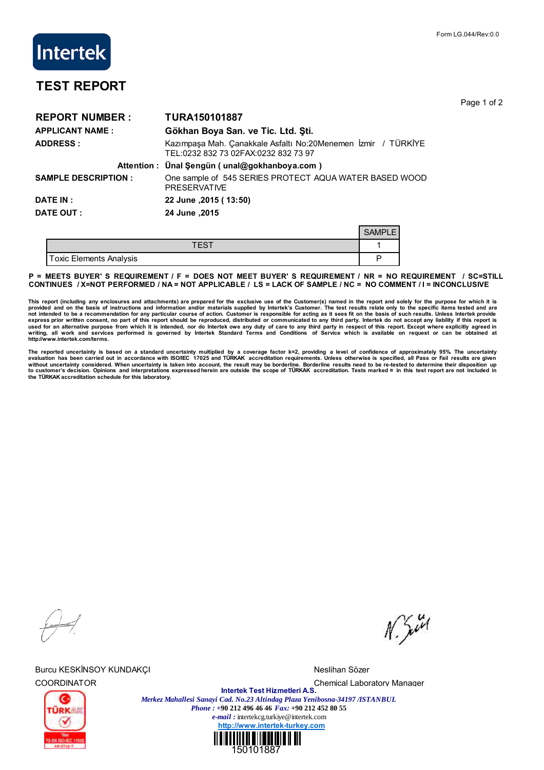Page 1 of 2

## **TEST REPORT**

**Intertek** 

| <b>REPORT NUMBER:</b>      | <b>TURA150101887</b>                                                                                  |               |  |  |  |
|----------------------------|-------------------------------------------------------------------------------------------------------|---------------|--|--|--|
| <b>APPLICANT NAME:</b>     | Gökhan Boya San. ve Tic. Ltd. Şti.                                                                    |               |  |  |  |
| <b>ADDRESS:</b>            | Kazımpaşa Mah. Çanakkale Asfaltı No:20Menemen İzmir / TÜRKİYE<br>TEL:0232 832 73 02FAX:0232 832 73 97 |               |  |  |  |
|                            | Attention: Ünal Şengün (unal@gokhanboya.com)                                                          |               |  |  |  |
| <b>SAMPLE DESCRIPTION:</b> | One sample of 545 SERIES PROTECT AQUA WATER BASED WOOD<br><b>PRESERVATIVE</b>                         |               |  |  |  |
| <b>DATE IN:</b>            | 22 June , 2015 ( 13:50)                                                                               |               |  |  |  |
| DATE OUT :                 | 24 June .2015                                                                                         |               |  |  |  |
|                            |                                                                                                       | <b>SAMPLE</b> |  |  |  |
|                            | <b>TEST</b>                                                                                           |               |  |  |  |

Toxic Elements Analysis P

**P = MEETS BUYER' S REQUIREMENT / F = DOES NOT MEET BUYER' S REQUIREMENT / NR = NO REQUIREMENT / SC=STILL CONTINUES / X=NOT PERFORMED / NA = NOT APPLICABLE / LS = LACK OF SAMPLE / NC = NO COMMENT / I = INCONCLUSIVE**

This report (including any enclosures and attachments) are prepared for the exclusive use of the Customer(s) named in the report and solely for the purpose for which it is<br>provided and on the basis of instructions and info **writing, all work and services performed is governed by Intertek Standard Terms and Conditions of Service which is available on request or can be obtained at http://www.intertek.com/terms.**

The reported uncertainty is based on a standard uncertainty multiplied by a coverage factor k=2, providing a level of confidence of approximately 95%. The uncertainty<br>without uncertainty considered. When uncertainty staken **the TÜRKAK accreditation schedule for this laboratory.**

Burcu KESKİNSOY KUNDAKÇI NESLI NESI'NDE TERLETI NESI'NDE MESLIHAN SÖZER

 $N$ . Sivel



COORDINATOR Chemical Laboratory Manager **Intertek Test Hizmetleri A.S.** *Merkez Mahallesi Sanayi Cad. No.23 Altindag Plaza Yenibosna-34197 /ISTANBUL Phone : +***90 212 496 46 46** *Fax:* **+90 212 452 80 55** *e-mail :* intertekcg.turkiye@intertek.com **http://www.intertek-turkey.com**

150101887